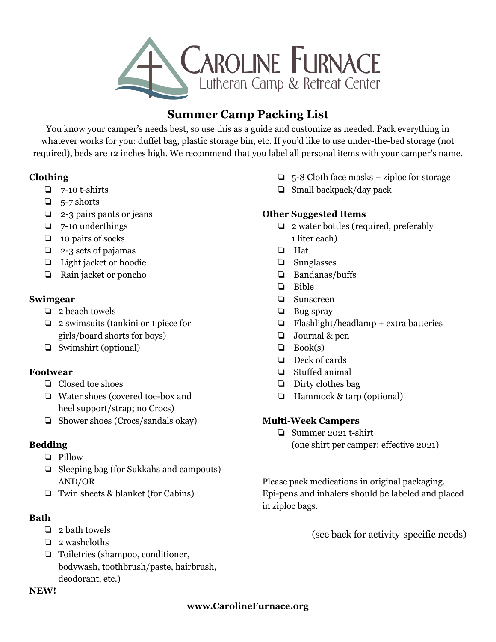

# **Summer Camp Packing List**

You know your camper's needs best, so use this as a guide and customize as needed. Pack everything in whatever works for you: duffel bag, plastic storage bin, etc. If you'd like to use under-the-bed storage (not required), beds are 12 inches high. We recommend that you label all personal items with your camper's name.

#### **Clothing**

- $\Box$  7-10 t-shirts
- ❏ 5-7 shorts
- ❏ 2-3 pairs pants or jeans
- ❏ 7-10 underthings
- ❏ 10 pairs of socks
- ❏ 2-3 sets of pajamas
- ❏ Light jacket or hoodie
- ❏ Rain jacket or poncho

### **Swimgear**

- ❏ 2 beach towels
- ❏ 2 swimsuits (tankini or 1 piece for girls/board shorts for boys)
- ❏ Swimshirt (optional)

# **Footwear**

- ❏ Closed toe shoes
- ❏ Water shoes (covered toe-box and heel support/strap; no Crocs)
- ❏ Shower shoes (Crocs/sandals okay)

# **Bedding**

- ❏ Pillow
- ❏ Sleeping bag (for Sukkahs and campouts) AND/OR
- ❏ Twin sheets & blanket (for Cabins)

# **Bath**

- ❏ 2 bath towels
- ❏ 2 washcloths
- ❏ Toiletries (shampoo, conditioner, bodywash, toothbrush/paste, hairbrush, deodorant, etc.)

#### **NEW!**

- $\Box$  5-8 Cloth face masks + ziploc for storage
- ❏ Small backpack/day pack

### **Other Suggested Items**

- ❏ 2 water bottles (required, preferably 1 liter each)
- ❏ Hat
- ❏ Sunglasses
- ❏ Bandanas/buffs
- ❏ Bible
- ❏ Sunscreen
- ❏ Bug spray
- ❏ Flashlight/headlamp + extra batteries
- ❏ Journal & pen
- $\Box$  Book(s)
- ❏ Deck of cards
- ❏ Stuffed animal
- ❏ Dirty clothes bag
- ❏ Hammock & tarp (optional)

### **Multi-Week Campers**

❏ Summer 2021 t-shirt (one shirt per camper; effective 2021)

Please pack medications in original packaging. Epi-pens and inhalers should be labeled and placed in ziploc bags.

(see back for activity-specific needs)

### **www.CarolineFurnace.org**